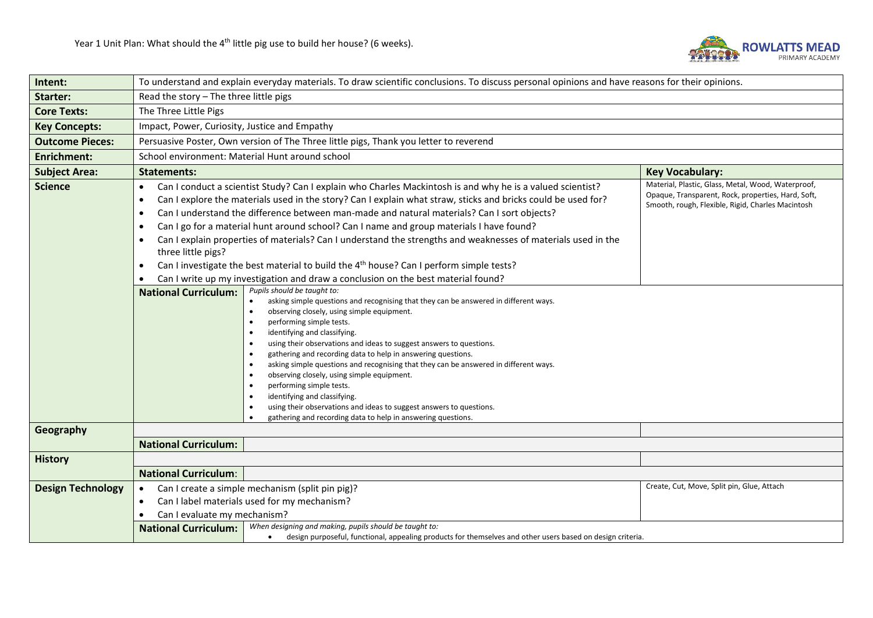

| Intent:                  | To understand and explain everyday materials. To draw scientific conclusions. To discuss personal opinions and have reasons for their opinions.                                                                                                                                                                                                                                                                                                                                                                                                                                                                                                                                                                                                                                                                                                                                                                                                                                                                                                                                                                                                                                                                                                                                                                                                                                                                                                                                                                                                                                                   |                                                                                                                                                               |  |  |  |  |  |
|--------------------------|---------------------------------------------------------------------------------------------------------------------------------------------------------------------------------------------------------------------------------------------------------------------------------------------------------------------------------------------------------------------------------------------------------------------------------------------------------------------------------------------------------------------------------------------------------------------------------------------------------------------------------------------------------------------------------------------------------------------------------------------------------------------------------------------------------------------------------------------------------------------------------------------------------------------------------------------------------------------------------------------------------------------------------------------------------------------------------------------------------------------------------------------------------------------------------------------------------------------------------------------------------------------------------------------------------------------------------------------------------------------------------------------------------------------------------------------------------------------------------------------------------------------------------------------------------------------------------------------------|---------------------------------------------------------------------------------------------------------------------------------------------------------------|--|--|--|--|--|
| Starter:                 | Read the story - The three little pigs                                                                                                                                                                                                                                                                                                                                                                                                                                                                                                                                                                                                                                                                                                                                                                                                                                                                                                                                                                                                                                                                                                                                                                                                                                                                                                                                                                                                                                                                                                                                                            |                                                                                                                                                               |  |  |  |  |  |
| <b>Core Texts:</b>       | The Three Little Pigs                                                                                                                                                                                                                                                                                                                                                                                                                                                                                                                                                                                                                                                                                                                                                                                                                                                                                                                                                                                                                                                                                                                                                                                                                                                                                                                                                                                                                                                                                                                                                                             |                                                                                                                                                               |  |  |  |  |  |
| <b>Key Concepts:</b>     | Impact, Power, Curiosity, Justice and Empathy                                                                                                                                                                                                                                                                                                                                                                                                                                                                                                                                                                                                                                                                                                                                                                                                                                                                                                                                                                                                                                                                                                                                                                                                                                                                                                                                                                                                                                                                                                                                                     |                                                                                                                                                               |  |  |  |  |  |
| <b>Outcome Pieces:</b>   | Persuasive Poster, Own version of The Three little pigs, Thank you letter to reverend                                                                                                                                                                                                                                                                                                                                                                                                                                                                                                                                                                                                                                                                                                                                                                                                                                                                                                                                                                                                                                                                                                                                                                                                                                                                                                                                                                                                                                                                                                             |                                                                                                                                                               |  |  |  |  |  |
| <b>Enrichment:</b>       | School environment: Material Hunt around school                                                                                                                                                                                                                                                                                                                                                                                                                                                                                                                                                                                                                                                                                                                                                                                                                                                                                                                                                                                                                                                                                                                                                                                                                                                                                                                                                                                                                                                                                                                                                   |                                                                                                                                                               |  |  |  |  |  |
| <b>Subject Area:</b>     | <b>Statements:</b>                                                                                                                                                                                                                                                                                                                                                                                                                                                                                                                                                                                                                                                                                                                                                                                                                                                                                                                                                                                                                                                                                                                                                                                                                                                                                                                                                                                                                                                                                                                                                                                | <b>Key Vocabulary:</b>                                                                                                                                        |  |  |  |  |  |
| <b>Science</b>           | Can I conduct a scientist Study? Can I explain who Charles Mackintosh is and why he is a valued scientist?<br>$\bullet$<br>Can I explore the materials used in the story? Can I explain what straw, sticks and bricks could be used for?<br>٠<br>Can I understand the difference between man-made and natural materials? Can I sort objects?<br>٠<br>Can I go for a material hunt around school? Can I name and group materials I have found?<br>$\bullet$<br>Can I explain properties of materials? Can I understand the strengths and weaknesses of materials used in the<br>$\bullet$<br>three little pigs?<br>Can I investigate the best material to build the 4 <sup>th</sup> house? Can I perform simple tests?<br>$\bullet$<br>Can I write up my investigation and draw a conclusion on the best material found?<br>$\bullet$<br>Pupils should be taught to:<br><b>National Curriculum:</b><br>asking simple questions and recognising that they can be answered in different ways.<br>observing closely, using simple equipment.<br>performing simple tests.<br>identifying and classifying.<br>using their observations and ideas to suggest answers to questions.<br>gathering and recording data to help in answering questions.<br>asking simple questions and recognising that they can be answered in different ways.<br>observing closely, using simple equipment.<br>performing simple tests.<br>identifying and classifying.<br>$\bullet$<br>using their observations and ideas to suggest answers to questions.<br>gathering and recording data to help in answering questions. | Material, Plastic, Glass, Metal, Wood, Waterproof,<br>Opaque, Transparent, Rock, properties, Hard, Soft,<br>Smooth, rough, Flexible, Rigid, Charles Macintosh |  |  |  |  |  |
| Geography                | <b>National Curriculum:</b>                                                                                                                                                                                                                                                                                                                                                                                                                                                                                                                                                                                                                                                                                                                                                                                                                                                                                                                                                                                                                                                                                                                                                                                                                                                                                                                                                                                                                                                                                                                                                                       |                                                                                                                                                               |  |  |  |  |  |
| <b>History</b>           |                                                                                                                                                                                                                                                                                                                                                                                                                                                                                                                                                                                                                                                                                                                                                                                                                                                                                                                                                                                                                                                                                                                                                                                                                                                                                                                                                                                                                                                                                                                                                                                                   |                                                                                                                                                               |  |  |  |  |  |
|                          | <b>National Curriculum:</b>                                                                                                                                                                                                                                                                                                                                                                                                                                                                                                                                                                                                                                                                                                                                                                                                                                                                                                                                                                                                                                                                                                                                                                                                                                                                                                                                                                                                                                                                                                                                                                       |                                                                                                                                                               |  |  |  |  |  |
| <b>Design Technology</b> | Can I create a simple mechanism (split pin pig)?<br>$\bullet$<br>Can I label materials used for my mechanism?<br>$\bullet$<br>Can I evaluate my mechanism?<br>$\bullet$<br>When designing and making, pupils should be taught to:<br><b>National Curriculum:</b>                                                                                                                                                                                                                                                                                                                                                                                                                                                                                                                                                                                                                                                                                                                                                                                                                                                                                                                                                                                                                                                                                                                                                                                                                                                                                                                                  | Create, Cut, Move, Split pin, Glue, Attach                                                                                                                    |  |  |  |  |  |
|                          | design purposeful, functional, appealing products for themselves and other users based on design criteria.                                                                                                                                                                                                                                                                                                                                                                                                                                                                                                                                                                                                                                                                                                                                                                                                                                                                                                                                                                                                                                                                                                                                                                                                                                                                                                                                                                                                                                                                                        |                                                                                                                                                               |  |  |  |  |  |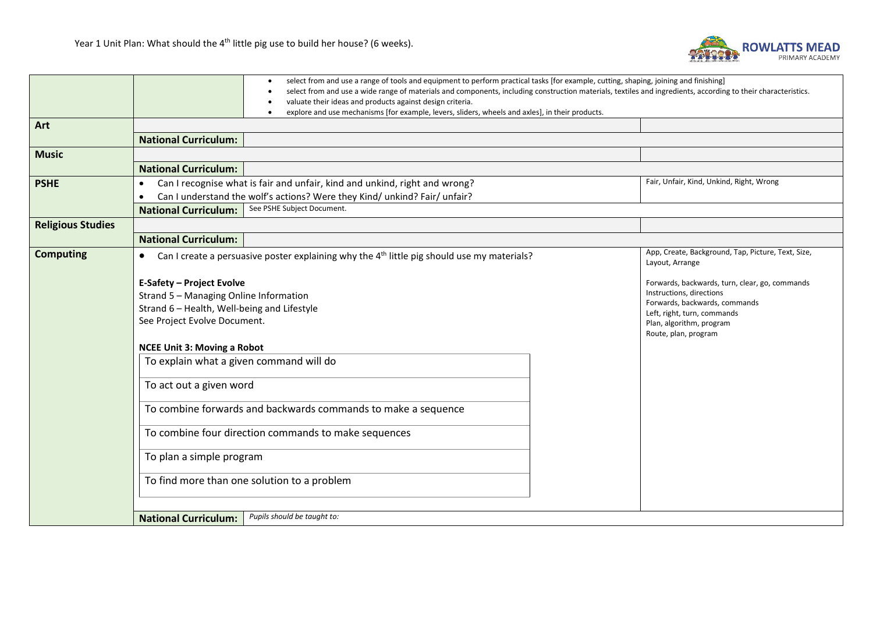

|                          |                                                                                                 | select from and use a range of tools and equipment to perform practical tasks [for example, cutting, shaping, joining and finishing]                          |  |  |  |  |  |
|--------------------------|-------------------------------------------------------------------------------------------------|---------------------------------------------------------------------------------------------------------------------------------------------------------------|--|--|--|--|--|
|                          |                                                                                                 | select from and use a wide range of materials and components, including construction materials, textiles and ingredients, according to their characteristics. |  |  |  |  |  |
|                          | valuate their ideas and products against design criteria.                                       |                                                                                                                                                               |  |  |  |  |  |
|                          | explore and use mechanisms [for example, levers, sliders, wheels and axles], in their products. |                                                                                                                                                               |  |  |  |  |  |
| Art                      |                                                                                                 |                                                                                                                                                               |  |  |  |  |  |
|                          | <b>National Curriculum:</b>                                                                     |                                                                                                                                                               |  |  |  |  |  |
| <b>Music</b>             |                                                                                                 |                                                                                                                                                               |  |  |  |  |  |
|                          | <b>National Curriculum:</b>                                                                     |                                                                                                                                                               |  |  |  |  |  |
| <b>PSHE</b>              | Can I recognise what is fair and unfair, kind and unkind, right and wrong?<br>$\bullet$         | Fair, Unfair, Kind, Unkind, Right, Wrong                                                                                                                      |  |  |  |  |  |
|                          | Can I understand the wolf's actions? Were they Kind/ unkind? Fair/ unfair?                      |                                                                                                                                                               |  |  |  |  |  |
|                          | See PSHE Subject Document.<br><b>National Curriculum:</b>                                       |                                                                                                                                                               |  |  |  |  |  |
| <b>Religious Studies</b> |                                                                                                 |                                                                                                                                                               |  |  |  |  |  |
|                          | <b>National Curriculum:</b>                                                                     |                                                                                                                                                               |  |  |  |  |  |
| <b>Computing</b>         |                                                                                                 | App, Create, Background, Tap, Picture, Text, Size,                                                                                                            |  |  |  |  |  |
|                          | Can I create a persuasive poster explaining why the $4th$ little pig should use my materials?   | Layout, Arrange                                                                                                                                               |  |  |  |  |  |
|                          |                                                                                                 |                                                                                                                                                               |  |  |  |  |  |
|                          | <b>E-Safety - Project Evolve</b>                                                                | Forwards, backwards, turn, clear, go, commands<br>Instructions, directions                                                                                    |  |  |  |  |  |
|                          | Strand 5 - Managing Online Information                                                          | Forwards, backwards, commands                                                                                                                                 |  |  |  |  |  |
|                          | Strand 6 - Health, Well-being and Lifestyle                                                     | Left, right, turn, commands                                                                                                                                   |  |  |  |  |  |
|                          | See Project Evolve Document.                                                                    | Plan, algorithm, program                                                                                                                                      |  |  |  |  |  |
|                          | Route, plan, program                                                                            |                                                                                                                                                               |  |  |  |  |  |
|                          | <b>NCEE Unit 3: Moving a Robot</b>                                                              |                                                                                                                                                               |  |  |  |  |  |
|                          | To explain what a given command will do                                                         |                                                                                                                                                               |  |  |  |  |  |
|                          | To act out a given word<br>To combine forwards and backwards commands to make a sequence        |                                                                                                                                                               |  |  |  |  |  |
|                          |                                                                                                 |                                                                                                                                                               |  |  |  |  |  |
|                          |                                                                                                 |                                                                                                                                                               |  |  |  |  |  |
|                          |                                                                                                 |                                                                                                                                                               |  |  |  |  |  |
|                          | To combine four direction commands to make sequences                                            |                                                                                                                                                               |  |  |  |  |  |
|                          |                                                                                                 |                                                                                                                                                               |  |  |  |  |  |
|                          | To plan a simple program                                                                        |                                                                                                                                                               |  |  |  |  |  |
|                          |                                                                                                 |                                                                                                                                                               |  |  |  |  |  |
|                          | To find more than one solution to a problem                                                     |                                                                                                                                                               |  |  |  |  |  |
|                          |                                                                                                 |                                                                                                                                                               |  |  |  |  |  |
|                          |                                                                                                 |                                                                                                                                                               |  |  |  |  |  |
|                          | Pupils should be taught to:<br><b>National Curriculum:</b>                                      |                                                                                                                                                               |  |  |  |  |  |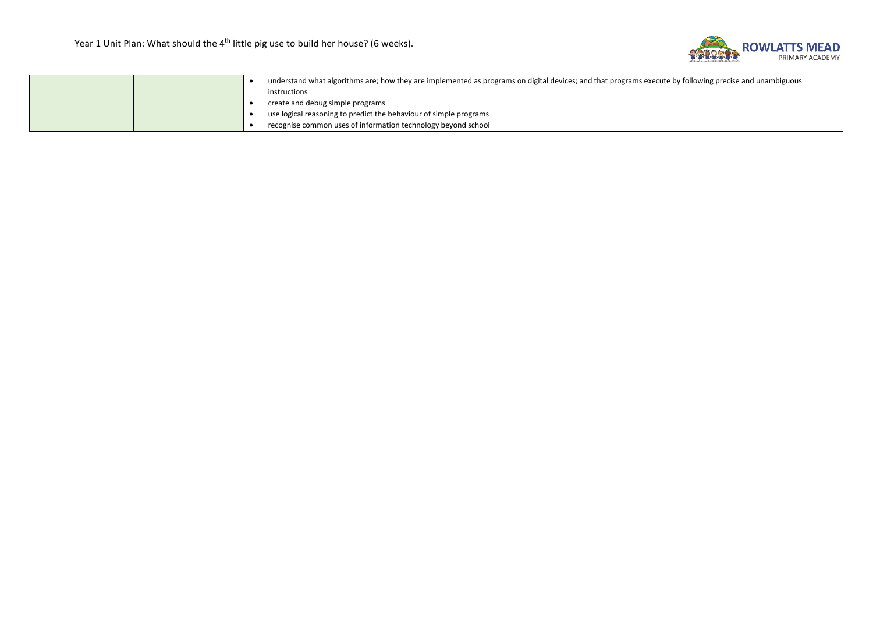

|  |  | understand what algorithms are; how they are implemented as programs on digital devices; and that programs execute by following precise and unambiguous |
|--|--|---------------------------------------------------------------------------------------------------------------------------------------------------------|
|  |  | instructions                                                                                                                                            |
|  |  | create and debug simple programs                                                                                                                        |
|  |  | use logical reasoning to predict the behaviour of simple programs                                                                                       |
|  |  | recognise common uses of information technology beyond school                                                                                           |